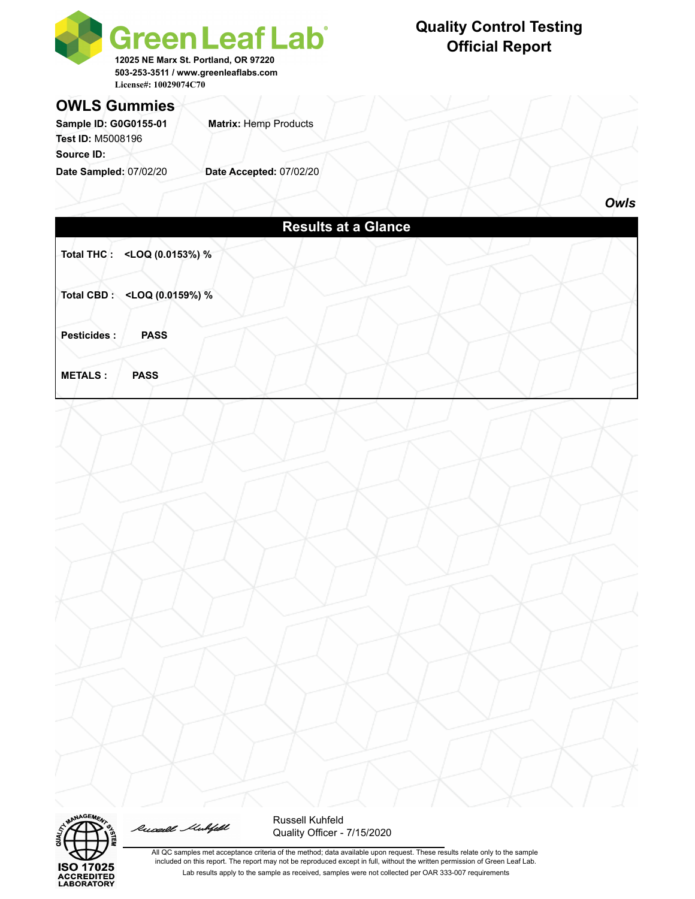| License#: 10029074C70                                                                                | <b>Green Leaf Lab</b> <sup>®</sup><br>12025 NE Marx St. Portland, OR 97220<br>503-253-3511 / www.greenleaflabs.com | <b>Quality Control Testing</b><br><b>Official Report</b> |      |
|------------------------------------------------------------------------------------------------------|--------------------------------------------------------------------------------------------------------------------|----------------------------------------------------------|------|
| <b>OWLS Gummies</b><br>Sample ID: G0G0155-01<br>Test ID: M5008196<br><b>Source ID:</b>               | <b>Matrix: Hemp Products</b>                                                                                       |                                                          |      |
| Date Sampled: 07/02/20                                                                               | Date Accepted: 07/02/20                                                                                            |                                                          | Owls |
| Total THC: <loq %<="" (0.0153%)="" td=""><td><b>Results at a Glance</b></td><td></td><td></td></loq> | <b>Results at a Glance</b>                                                                                         |                                                          |      |
| <b>Total CBD:</b><br><loq %<br="" (0.0159%)=""><b>PASS</b><br/><b>Pesticides:</b></loq>              |                                                                                                                    |                                                          |      |
| <b>METALS:</b><br><b>PASS</b>                                                                        |                                                                                                                    |                                                          |      |
|                                                                                                      |                                                                                                                    |                                                          |      |
|                                                                                                      |                                                                                                                    |                                                          |      |
|                                                                                                      |                                                                                                                    |                                                          |      |
|                                                                                                      |                                                                                                                    |                                                          |      |
|                                                                                                      |                                                                                                                    |                                                          |      |
|                                                                                                      |                                                                                                                    |                                                          |      |
|                                                                                                      |                                                                                                                    |                                                          |      |
|                                                                                                      |                                                                                                                    |                                                          |      |





Russell Kuhfeld Quality Officer - 7/15/2020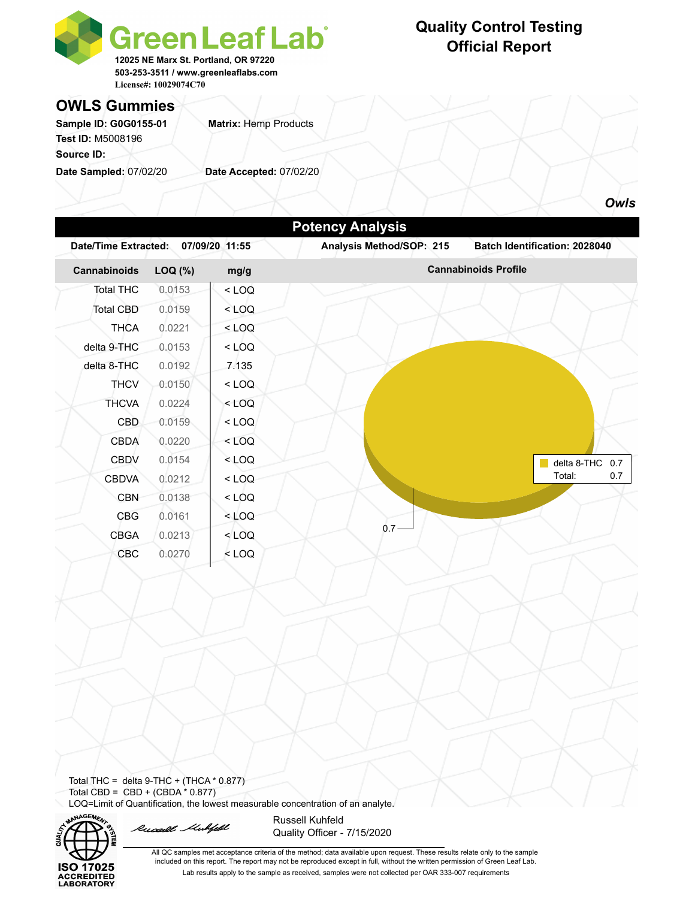

## **Quality Control Testing Official Report**

### **OWLS Gummies**

Sample ID: G0G0155-01 **Matrix: Hemp Products Test ID:** M5008196 **Source ID:** 

**Date Sampled:** 07/02/20 **Date Accepted:** 07/02/20

*Owls*

| 07/09/20 11:55<br>mg/g<br>$<$ LOQ<br>$<$ LOQ<br>$<$ LOQ<br>$<$ LOQ<br>7.135<br>$<$ LOQ<br>$<$ LOQ<br>$<$ LOQ<br>$<$ LOQ | Analysis Method/SOP: 215 | <b>Cannabinoids Profile</b> | Batch Identification: 2028040              |
|-------------------------------------------------------------------------------------------------------------------------|--------------------------|-----------------------------|--------------------------------------------|
|                                                                                                                         |                          |                             |                                            |
|                                                                                                                         |                          |                             |                                            |
|                                                                                                                         |                          |                             |                                            |
|                                                                                                                         |                          |                             |                                            |
|                                                                                                                         |                          |                             |                                            |
|                                                                                                                         |                          |                             |                                            |
|                                                                                                                         |                          |                             |                                            |
|                                                                                                                         |                          |                             |                                            |
|                                                                                                                         |                          |                             |                                            |
|                                                                                                                         |                          |                             |                                            |
|                                                                                                                         |                          |                             |                                            |
| $<$ LOQ                                                                                                                 |                          |                             | delta 8-THC<br>0.7                         |
| $<$ LOQ                                                                                                                 |                          |                             | Total:<br>0.7                              |
| $<$ LOQ                                                                                                                 |                          |                             |                                            |
| $<$ LOQ                                                                                                                 |                          |                             |                                            |
| $<$ LOQ                                                                                                                 | $0.7 -$                  |                             |                                            |
| $<$ LOQ                                                                                                                 |                          |                             |                                            |
|                                                                                                                         |                          |                             |                                            |
|                                                                                                                         |                          |                             | Total THC = delta 9-THC + $(THCA * 0.877)$ |

Total CBD = CBD + (CBDA \* 0.877) LOQ=Limit of Quantification, the lowest measurable concentration of an analyte.



Russell Mubfeld

Russell Kuhfeld Quality Officer - 7/15/2020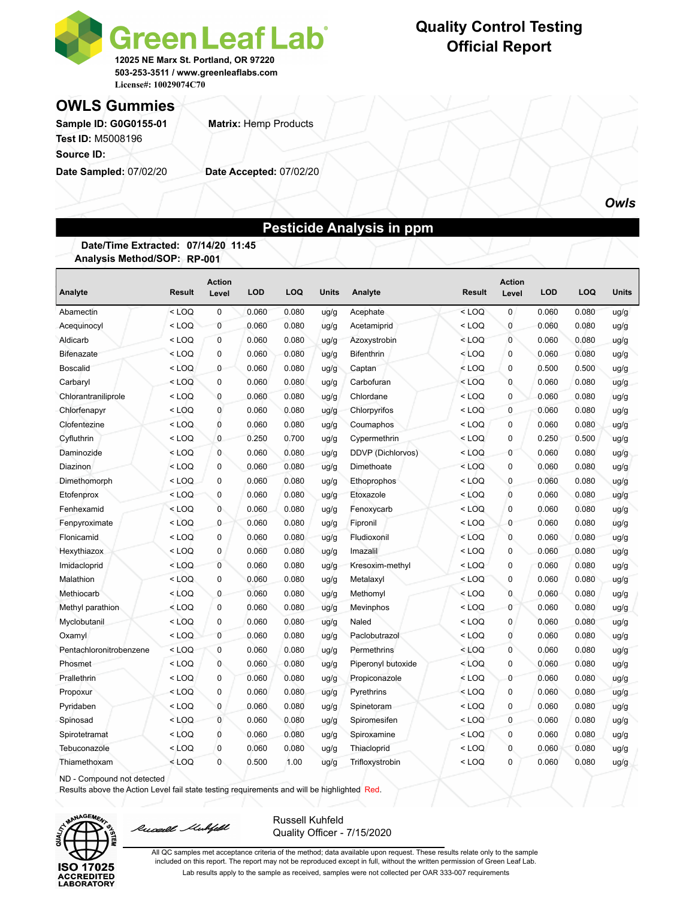

### **Quality Control Testing Official Report**

**OWLS Gummies**

Sample ID: G0G0155-01 **Matrix: Hemp Products Test ID:** M5008196

**Source ID:** 

**Date Sampled:** 07/02/20 **Date Accepted:** 07/02/20

*Owls*

### **Pesticide Analysis in ppm**

#### **Date/Time Extracted: 07/14/20 11:45 Analysis Method/SOP: RP-001**

| Analyte                 | <b>Result</b> | <b>Action</b><br>Level | <b>LOD</b> | LOQ   | <b>Units</b> | Analyte            | Result                                                                 | <b>Action</b><br>Level | <b>LOD</b> | LOQ   | Units |
|-------------------------|---------------|------------------------|------------|-------|--------------|--------------------|------------------------------------------------------------------------|------------------------|------------|-------|-------|
| Abamectin               | $<$ LOQ       | $\mathbf 0$            | 0.060      | 0.080 | ug/g         | Acephate           | $<$ LOQ                                                                | 0                      | 0.060      | 0.080 | ug/g  |
| Acequinocyl             | $<$ LOQ       | $\mathbf 0$            | 0.060      | 0.080 | uq/q         | Acetamiprid        | < LOQ                                                                  | 0                      | 0.060      | 0.080 | ug/g  |
| Aldicarb                | $<$ LOQ       | $\mathbf 0$            | 0.060      | 0.080 | uq/q         | Azoxystrobin       | $<$ LOQ                                                                | 0                      | 0.060      | 0.080 | ug/g  |
| <b>Bifenazate</b>       | $<$ LOQ       | 0                      | 0.060      | 0.080 | ug/g         | Bifenthrin         | $<$ LOQ                                                                | 0                      | 0.060      | 0.080 | ug/g  |
| <b>Boscalid</b>         | $<$ LOQ       | $\mathbf{0}$           | 0.060      | 0.080 | ug/g         | Captan             | $<$ LOQ                                                                | 0                      | 0.500      | 0.500 | ug/g  |
| Carbaryl                | $<$ LOQ       | 0                      | 0.060      | 0.080 | ug/g         | Carbofuran         | $<$ LOQ                                                                | 0                      | 0.060      | 0.080 | ug/g  |
| Chlorantraniliprole     | $<$ LOQ       | $\mathbf 0$            | 0.060      | 0.080 | ug/g         | Chlordane          | $<$ LOQ                                                                | 0                      | 0.060      | 0.080 | ug/g  |
| Chlorfenapyr            | $<$ LOQ       | 0                      | 0.060      | 0.080 | ug/g         | Chlorpyrifos       | $<$ LOQ                                                                | 0                      | 0.060      | 0.080 | ug/g  |
| Clofentezine            | $<$ LOQ       | 0                      | 0.060      | 0.080 | ug/g         | Coumaphos          | < LOQ                                                                  | 0                      | 0.060      | 0.080 | ug/g  |
| Cyfluthrin              | $<$ LOQ       | $\mathbf 0$            | 0.250      | 0.700 | ug/g         | Cypermethrin       | < LOQ                                                                  | 0                      | 0.250      | 0.500 | ug/g  |
| Daminozide              | $<$ LOQ       | $\mathbf 0$            | 0.060      | 0.080 | uq/q         | DDVP (Dichlorvos)  | $<$ LOQ                                                                | 0                      | 0.060      | 0.080 | ug/g  |
| Diazinon                | $<$ LOQ       | $\mathbf 0$            | 0.060      | 0.080 | ug/g         | Dimethoate         | $<$ LOQ                                                                | 0                      | 0.060      | 0.080 | ug/g  |
| Dimethomorph            | $<$ LOQ       | $\mathbf 0$            | 0.060      | 0.080 | uq/q         | Ethoprophos        | $<$ LOQ                                                                | 0                      | 0.060      | 0.080 | ug/g  |
| Etofenprox              | $<$ LOQ       | $\mathbf 0$            | 0.060      | 0.080 | ug/g         | Etoxazole          | $<$ LOQ                                                                | 0                      | 0.060      | 0.080 | ug/g  |
| Fenhexamid              | $<$ LOQ       | $\mathbf{0}$           | 0.060      | 0.080 | uq/q         | Fenoxycarb         | < LOQ                                                                  | 0                      | 0.060      | 0.080 | ug/g  |
| Fenpyroximate           | $<$ LOQ       | $\mathbf 0$            | 0.060      | 0.080 | ug/g         | Fipronil           | $<$ LOQ                                                                | 0                      | 0.060      | 0.080 | ug/g  |
| Flonicamid              | $<$ LOQ       | 0                      | 0.060      | 0.080 | uq/q         | Fludioxonil        | $<$ LOQ                                                                | 0                      | 0.060      | 0.080 | ug/g  |
| Hexythiazox             | $<$ LOQ       | $\mathbf 0$            | 0.060      | 0.080 | ug/g         | Imazalil           | < LOQ                                                                  | 0                      | 0.060      | 0.080 | ug/g  |
| Imidacloprid            | $<$ LOQ       | $\mathbf 0$            | 0.060      | 0.080 | ug/g         | Kresoxim-methyl    | < LOQ                                                                  | 0                      | 0.060      | 0.080 | ug/g  |
| Malathion               | $<$ LOQ       | 0                      | 0.060      | 0.080 | ug/g         | Metalaxyl          | < LOQ                                                                  | 0                      | 0.060      | 0.080 | ug/g  |
| Methiocarb              | $<$ LOQ       | $\Omega$               | 0.060      | 0.080 | ug/g         | Methomyl           | < LOQ                                                                  | 0                      | 0.060      | 0.080 | ug/g  |
| Methyl parathion        | $<$ LOQ       | $\mathbf 0$            | 0.060      | 0.080 | ug/g         | Mevinphos          | $<$ LOQ                                                                | 0                      | 0.060      | 0.080 | ug/g  |
| Myclobutanil            | $<$ LOQ       | 0                      | 0.060      | 0.080 | uq/q         | Naled              | $<$ LOQ                                                                | 0                      | 0.060      | 0.080 | ug/g  |
| Oxamyl                  | $<$ LOQ       | $\mathbf 0$            | 0.060      | 0.080 | uq/q         | Paclobutrazol      | <loq< td=""><td>0</td><td>0.060</td><td>0.080</td><td>ug/g</td></loq<> | 0                      | 0.060      | 0.080 | ug/g  |
| Pentachloronitrobenzene | $<$ LOQ       | 0                      | 0.060      | 0.080 | ug/g         | Permethrins        | $<$ LOQ                                                                | 0                      | 0.060      | 0.080 | ug/g  |
| Phosmet                 | $<$ LOQ       | $\overline{0}$         | 0.060      | 0.080 | ug/g         | Piperonyl butoxide | $<$ LOQ                                                                | 0                      | 0.060      | 0.080 | ug/g  |
| Prallethrin             | $<$ LOQ       | 0                      | 0.060      | 0.080 | ug/g         | Propiconazole      | < LOQ                                                                  | 0                      | 0.060      | 0.080 | ug/g  |
| Propoxur                | $<$ LOQ       | $\mathbf 0$            | 0.060      | 0.080 | ug/g         | Pyrethrins         | $<$ LOQ                                                                | 0                      | 0.060      | 0.080 | ug/g  |
| Pyridaben               | $<$ LOQ       | $\mathbf 0$            | 0.060      | 0.080 | ug/g         | Spinetoram         | < LOQ                                                                  | 0                      | 0.060      | 0.080 | ug/g  |
| Spinosad                | $<$ LOQ       | $\mathbf{0}$           | 0.060      | 0.080 | ug/g         | Spiromesifen       | $<$ LOQ                                                                | 0                      | 0.060      | 0.080 | ug/g  |
| Spirotetramat           | $<$ LOQ       | $\mathbf 0$            | 0.060      | 0.080 | ug/g         | Spiroxamine        | $<$ LOQ                                                                | 0                      | 0.060      | 0.080 | ug/g  |
| Tebuconazole            | $<$ LOQ       | $\mathbf{0}$           | 0.060      | 0.080 | uq/q         | Thiacloprid        | < LOQ                                                                  | $\mathbf{0}$           | 0.060      | 0.080 | ug/g  |
| Thiamethoxam            | $<$ LOQ       | $\mathbf 0$            | 0.500      | 1.00  | ug/g         | Trifloxystrobin    | $<$ LOQ                                                                | 0                      | 0.060      | 0.080 | ug/g  |

ND - Compound not detected

Results above the Action Level fail state testing requirements and will be highlighted Red.



Russell Mubfeld

Russell Kuhfeld Quality Officer - 7/15/2020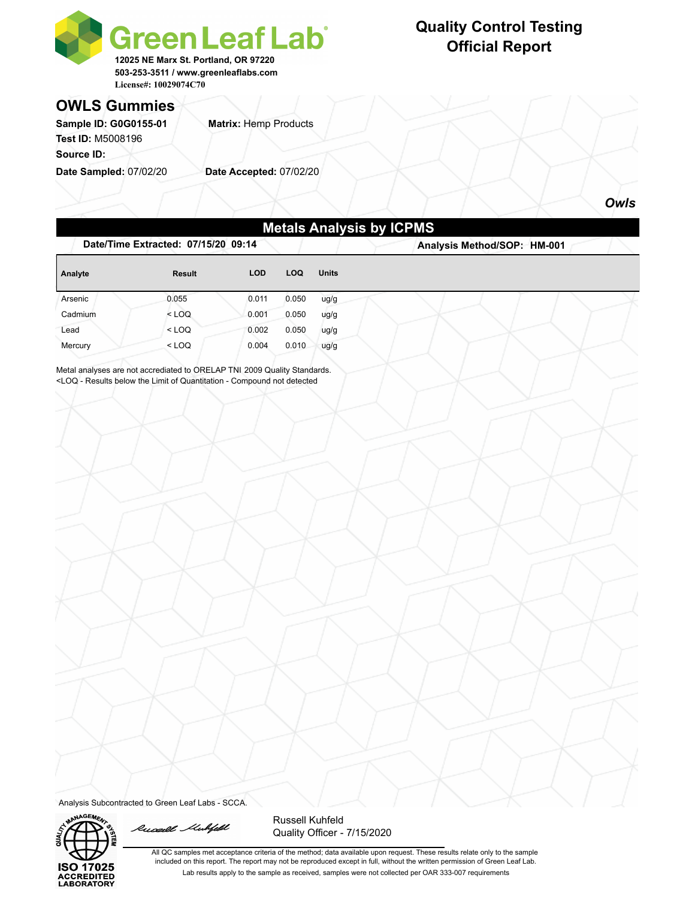

## **Quality Control Testing Official Report**

**Date/Time Extracted: 07/15/20 09:14 Analysis Method/SOP: HM-001**

### **OWLS Gummies**

**Sample ID: G0G0155-01 Matrix: Hemp Products Test ID:** M5008196 **Source ID:** 

**Date Sampled:** 07/02/20 **Date Accepted:** 07/02/20

*Owls*

### **Metals Analysis by ICPMS**

|  | Date/Time Extracted: 07/15/20 09:14 |
|--|-------------------------------------|
|--|-------------------------------------|

| Analyte | <b>Result</b> | <b>LOD</b> | LOQ   | <b>Units</b> |
|---------|---------------|------------|-------|--------------|
| Arsenic | 0.055         | 0.011      | 0.050 | ug/g         |
| Cadmium | $<$ LOQ       | 0.001      | 0.050 | uq/q         |
| Lead    | $<$ LOQ       | 0.002      | 0.050 | ug/g         |
| Mercury | $<$ LOQ       | 0.004      | 0.010 | uq/q         |

Metal analyses are not accrediated to ORELAP TNI 2009 Quality Standards. <LOQ - Results below the Limit of Quantitation - Compound not detected

Analysis Subcontracted to Green Leaf Labs - SCCA.



Russell Mubfeld

Russell Kuhfeld Quality Officer - 7/15/2020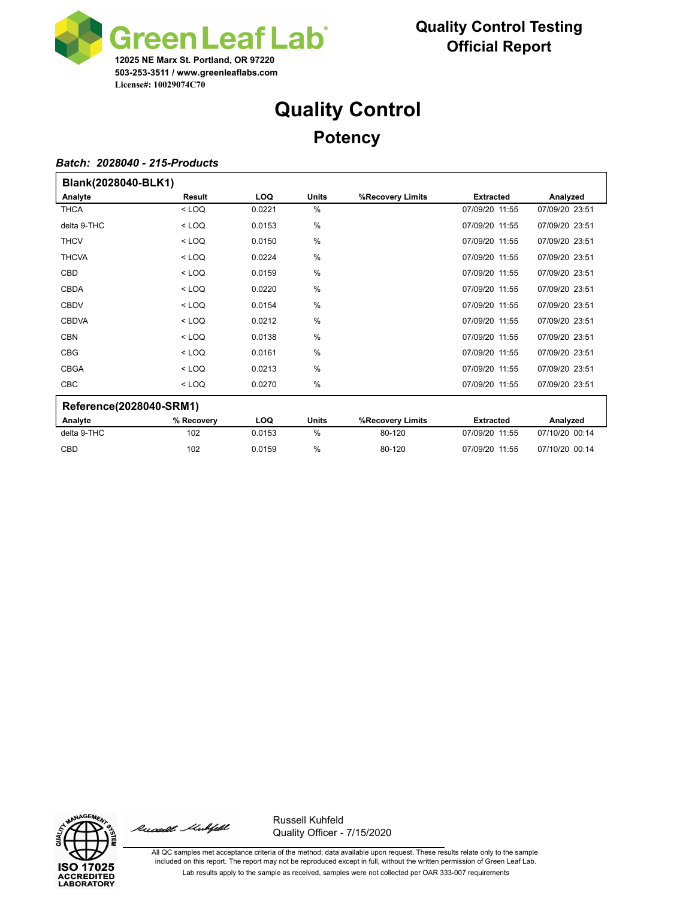

# **Quality Control Potency**

#### *Batch: 2028040 - 215-Products*

| Blank(2028040-BLK1)     |         |        |               |                  |                  |                |
|-------------------------|---------|--------|---------------|------------------|------------------|----------------|
| Analyte                 | Result  | LOQ.   | Units         | %Recovery Limits | <b>Extracted</b> | Analyzed       |
| <b>THCA</b>             | $<$ LOQ | 0.0221 | %             |                  | 07/09/20 11:55   | 07/09/20 23:51 |
| delta 9-THC             | $<$ LOQ | 0.0153 | %             |                  | 07/09/20 11:55   | 07/09/20 23:51 |
| <b>THCV</b>             | $<$ LOQ | 0.0150 | %             |                  | 07/09/20 11:55   | 07/09/20 23:51 |
| <b>THCVA</b>            | $<$ LOQ | 0.0224 | %             |                  | 07/09/20 11:55   | 07/09/20 23:51 |
| <b>CBD</b>              | $<$ LOQ | 0.0159 | %             |                  | 07/09/20 11:55   | 07/09/20 23:51 |
| <b>CBDA</b>             | $<$ LOQ | 0.0220 | %             |                  | 07/09/20 11:55   | 07/09/20 23:51 |
| <b>CBDV</b>             | $<$ LOQ | 0.0154 | $\frac{0}{0}$ |                  | 07/09/20 11:55   | 07/09/20 23:51 |
| <b>CBDVA</b>            | $<$ LOQ | 0.0212 | %             |                  | 07/09/20 11:55   | 07/09/20 23:51 |
| <b>CBN</b>              | $<$ LOQ | 0.0138 | $\frac{0}{0}$ |                  | 07/09/20 11:55   | 07/09/20 23:51 |
| <b>CBG</b>              | $<$ LOQ | 0.0161 | $\frac{0}{0}$ |                  | 07/09/20 11:55   | 07/09/20 23:51 |
| <b>CBGA</b>             | $<$ LOQ | 0.0213 | %             |                  | 07/09/20 11:55   | 07/09/20 23:51 |
| <b>CBC</b>              | $<$ LOQ | 0.0270 | $\frac{0}{0}$ |                  | 07/09/20 11:55   | 07/09/20 23:51 |
| Reference(2028040-SRM1) |         |        |               |                  |                  |                |
|                         |         |        |               |                  |                  |                |

| Analyte     | % Recovery | LOQ    | Units | %Recovery Limits | <b>Extracted</b> | Analvzed       |
|-------------|------------|--------|-------|------------------|------------------|----------------|
| delta 9-THC | 102        | 0.0153 | %     | 80-120           | 07/09/20 11:55   | 07/10/20 00:14 |
| <b>CBD</b>  | 102        | 0.0159 | %     | 80-120           | 07/09/20 11:55   | 07/10/20 00:14 |



Russell Muhfeld

Russell Kuhfeld Quality Officer - 7/15/2020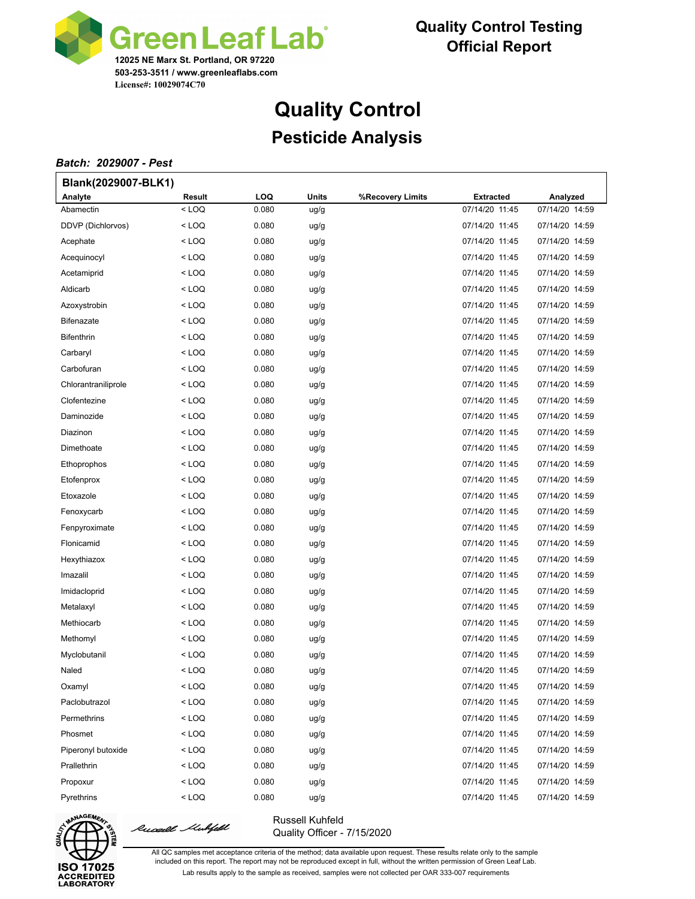

# **Quality Control Pesticide Analysis**

#### *Batch: 2029007 - Pest*

| Blank(2029007-BLK1) |         |       |              |                  |                  |                |
|---------------------|---------|-------|--------------|------------------|------------------|----------------|
| Analyte             | Result  | LOQ   | <b>Units</b> | %Recovery Limits | <b>Extracted</b> | Analyzed       |
| Abamectin           | $<$ LOQ | 0.080 | ug/g         |                  | 07/14/20 11:45   | 07/14/20 14:59 |
| DDVP (Dichlorvos)   | < LOQ   | 0.080 | ug/g         |                  | 07/14/20 11:45   | 07/14/20 14:59 |
| Acephate            | < LOQ   | 0.080 | ug/g         |                  | 07/14/20 11:45   | 07/14/20 14:59 |
| Acequinocyl         | < LOQ   | 0.080 | ug/g         |                  | 07/14/20 11:45   | 07/14/20 14:59 |
| Acetamiprid         | < LOQ   | 0.080 | ug/g         |                  | 07/14/20 11:45   | 07/14/20 14:59 |
| Aldicarb            | < LOQ   | 0.080 | ug/g         |                  | 07/14/20 11:45   | 07/14/20 14:59 |
| Azoxystrobin        | < LOQ   | 0.080 | ug/g         |                  | 07/14/20 11:45   | 07/14/20 14:59 |
| <b>Bifenazate</b>   | < LOQ   | 0.080 | ug/g         |                  | 07/14/20 11:45   | 07/14/20 14:59 |
| <b>Bifenthrin</b>   | < LOQ   | 0.080 | ug/g         |                  | 07/14/20 11:45   | 07/14/20 14:59 |
| Carbaryl            | < LOQ   | 0.080 | ug/g         |                  | 07/14/20 11:45   | 07/14/20 14:59 |
| Carbofuran          | < LOQ   | 0.080 | ug/g         |                  | 07/14/20 11:45   | 07/14/20 14:59 |
| Chlorantraniliprole | < LOQ   | 0.080 | ug/g         |                  | 07/14/20 11:45   | 07/14/20 14:59 |
| Clofentezine        | < LOQ   | 0.080 | ug/g         |                  | 07/14/20 11:45   | 07/14/20 14:59 |
| Daminozide          | < LOQ   | 0.080 | ug/g         |                  | 07/14/20 11:45   | 07/14/20 14:59 |
| Diazinon            | < LOQ   | 0.080 | ug/g         |                  | 07/14/20 11:45   | 07/14/20 14:59 |
| Dimethoate          | < LOQ   | 0.080 | ug/g         |                  | 07/14/20 11:45   | 07/14/20 14:59 |
| Ethoprophos         | < LOQ   | 0.080 | ug/g         |                  | 07/14/20 11:45   | 07/14/20 14:59 |
| Etofenprox          | $<$ LOQ | 0.080 | ug/g         |                  | 07/14/20 11:45   | 07/14/20 14:59 |
| Etoxazole           | < LOQ   | 0.080 | ug/g         |                  | 07/14/20 11:45   | 07/14/20 14:59 |
| Fenoxycarb          | < LOQ   | 0.080 | ug/g         |                  | 07/14/20 11:45   | 07/14/20 14:59 |
| Fenpyroximate       | < LOQ   | 0.080 | ug/g         |                  | 07/14/20 11:45   | 07/14/20 14:59 |
| Flonicamid          | < LOQ   | 0.080 | ug/g         |                  | 07/14/20 11:45   | 07/14/20 14:59 |
| Hexythiazox         | < LOQ   | 0.080 | ug/g         |                  | 07/14/20 11:45   | 07/14/20 14:59 |
| Imazalil            | < LOQ   | 0.080 | ug/g         |                  | 07/14/20 11:45   | 07/14/20 14:59 |
| Imidacloprid        | < LOQ   | 0.080 | ug/g         |                  | 07/14/20 11:45   | 07/14/20 14:59 |
| Metalaxyl           | < LOQ   | 0.080 | ug/g         |                  | 07/14/20 11:45   | 07/14/20 14:59 |
| Methiocarb          | < LOQ   | 0.080 | ug/g         |                  | 07/14/20 11:45   | 07/14/20 14:59 |
| Methomyl            | < LOQ   | 0.080 | ug/g         |                  | 07/14/20 11:45   | 07/14/20 14:59 |
| Myclobutanil        | < LOQ   | 0.080 | ug/g         |                  | 07/14/20 11:45   | 07/14/20 14:59 |
| Naled               | < LOQ   | 0.080 | ug/g         |                  | 07/14/20 11:45   | 07/14/20 14:59 |
| Oxamyl              | < LOQ   | 0.080 | ug/g         |                  | 07/14/20 11:45   | 07/14/20 14:59 |
| Paclobutrazol       | $<$ LOQ | 0.080 | ug/g         |                  | 07/14/20 11:45   | 07/14/20 14:59 |
| Permethrins         | $<$ LOQ | 0.080 | ug/g         |                  | 07/14/20 11:45   | 07/14/20 14:59 |
| Phosmet             | $<$ LOQ | 0.080 | ug/g         |                  | 07/14/20 11:45   | 07/14/20 14:59 |
| Piperonyl butoxide  | $<$ LOQ | 0.080 | ug/g         |                  | 07/14/20 11:45   | 07/14/20 14:59 |
| Prallethrin         | < LOQ   | 0.080 | ug/g         |                  | 07/14/20 11:45   | 07/14/20 14:59 |
| Propoxur            | $<$ LOQ | 0.080 | ug/g         |                  | 07/14/20 11:45   | 07/14/20 14:59 |
| Pyrethrins          | $<$ LOQ | 0.080 | ug/g         |                  | 07/14/20 11:45   | 07/14/20 14:59 |



Russell Mubifeld

Russell Kuhfeld Quality Officer - 7/15/2020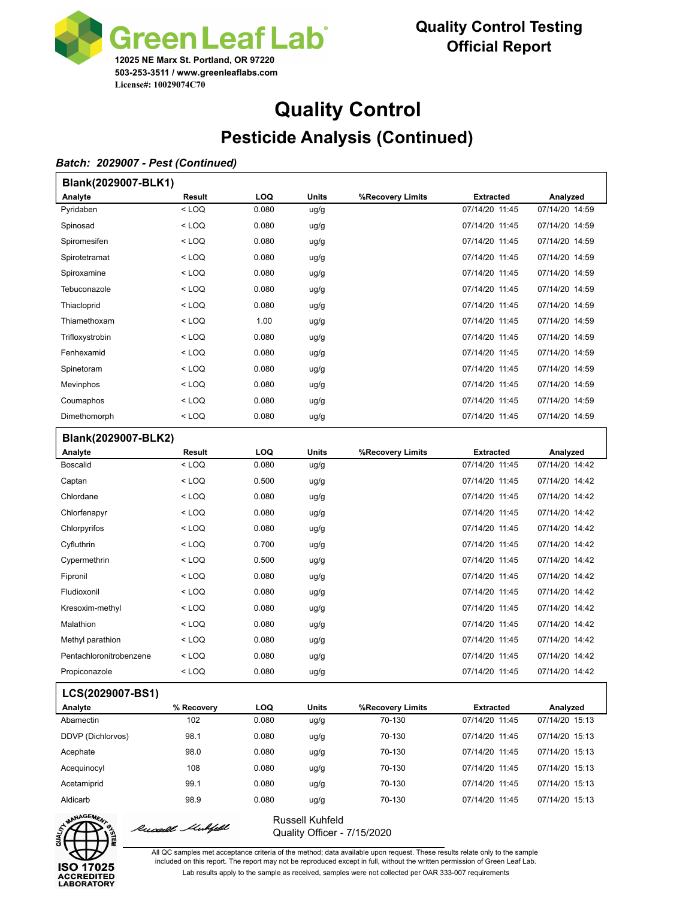

## **Quality Control Pesticide Analysis (Continued)**

#### *Batch: 2029007 - Pest (Continued)*

| Blank(2029007-BLK1)     |            |            |              |                  |                  |                |
|-------------------------|------------|------------|--------------|------------------|------------------|----------------|
| Analyte                 | Result     | <b>LOQ</b> | Units        | %Recovery Limits | <b>Extracted</b> | Analyzed       |
| Pyridaben               | $<$ LOQ    | 0.080      | ug/g         |                  | 07/14/20 11:45   | 07/14/20 14:59 |
| Spinosad                | < LOQ      | 0.080      | ug/g         |                  | 07/14/20 11:45   | 07/14/20 14:59 |
| Spiromesifen            | < LOQ      | 0.080      | ug/g         |                  | 07/14/20 11:45   | 07/14/20 14:59 |
| Spirotetramat           | < LOQ      | 0.080      | ug/g         |                  | 07/14/20 11:45   | 07/14/20 14:59 |
| Spiroxamine             | < LOQ      | 0.080      | ug/g         |                  | 07/14/20 11:45   | 07/14/20 14:59 |
| Tebuconazole            | < LOQ      | 0.080      | ug/g         |                  | 07/14/20 11:45   | 07/14/20 14:59 |
| Thiacloprid             | < LOQ      | 0.080      | ug/g         |                  | 07/14/20 11:45   | 07/14/20 14:59 |
| Thiamethoxam            | < LOQ      | 1.00       | ug/g         |                  | 07/14/20 11:45   | 07/14/20 14:59 |
| Trifloxystrobin         | < LOQ      | 0.080      | ug/g         |                  | 07/14/20 11:45   | 07/14/20 14:59 |
| Fenhexamid              | < LOQ      | 0.080      | ug/g         |                  | 07/14/20 11:45   | 07/14/20 14:59 |
| Spinetoram              | < LOQ      | 0.080      | ug/g         |                  | 07/14/20 11:45   | 07/14/20 14:59 |
| Mevinphos               | < LOQ      | 0.080      | ug/g         |                  | 07/14/20 11:45   | 07/14/20 14:59 |
| Coumaphos               | < LOQ      | 0.080      | ug/g         |                  | 07/14/20 11:45   | 07/14/20 14:59 |
| Dimethomorph            | < LOQ      | 0.080      | ug/g         |                  | 07/14/20 11:45   | 07/14/20 14:59 |
| Blank(2029007-BLK2)     |            |            |              |                  |                  |                |
| Analyte                 | Result     | <b>LOQ</b> | Units        | %Recovery Limits | <b>Extracted</b> | Analyzed       |
| <b>Boscalid</b>         | < LOQ      | 0.080      | ug/g         |                  | 07/14/20 11:45   | 07/14/20 14:42 |
| Captan                  | < LOQ      | 0.500      | ug/g         |                  | 07/14/20 11:45   | 07/14/20 14:42 |
| Chlordane               | < LOQ      | 0.080      | ug/g         |                  | 07/14/20 11:45   | 07/14/20 14:42 |
| Chlorfenapyr            | < LOQ      | 0.080      | ug/g         |                  | 07/14/20 11:45   | 07/14/20 14:42 |
| Chlorpyrifos            | < LOQ      | 0.080      | ug/g         |                  | 07/14/20 11:45   | 07/14/20 14:42 |
| Cyfluthrin              | < LOQ      | 0.700      | ug/g         |                  | 07/14/20 11:45   | 07/14/20 14:42 |
| Cypermethrin            | < LOQ      | 0.500      | ug/g         |                  | 07/14/20 11:45   | 07/14/20 14:42 |
| Fipronil                | < LOQ      | 0.080      | ug/g         |                  | 07/14/20 11:45   | 07/14/20 14:42 |
| Fludioxonil             | < LOQ      | 0.080      | ug/g         |                  | 07/14/20 11:45   | 07/14/20 14:42 |
| Kresoxim-methyl         | < LOQ      | 0.080      | ug/g         |                  | 07/14/20 11:45   | 07/14/20 14:42 |
| Malathion               | < LOQ      | 0.080      | ug/g         |                  | 07/14/20 11:45   | 07/14/20 14:42 |
| Methyl parathion        | < LOQ      | 0.080      | ug/g         |                  | 07/14/20 11:45   | 07/14/20 14:42 |
| Pentachloronitrobenzene | < LOQ      | 0.080      | ug/g         |                  | 07/14/20 11:45   | 07/14/20 14:42 |
| Propiconazole           | < LOQ      | 0.080      | ug/g         |                  | 07/14/20 11:45   | 07/14/20 14:42 |
| LCS(2029007-BS1)        |            |            |              |                  |                  |                |
| Analyte                 | % Recovery | <b>LOQ</b> | <b>Units</b> | %Recovery Limits | <b>Extracted</b> | Analyzed       |
| Abamectin               | 102        | 0.080      | ug/g         | 70-130           | 07/14/20 11:45   | 07/14/20 15:13 |
| DDVP (Dichlorvos)       | 98.1       | 0.080      | ug/g         | 70-130           | 07/14/20 11:45   | 07/14/20 15:13 |
| Acephate                | 98.0       | 0.080      | ug/g         | 70-130           | 07/14/20 11:45   | 07/14/20 15:13 |
| Acequinocyl             | 108        | 0.080      | ug/g         | 70-130           | 07/14/20 11:45   | 07/14/20 15:13 |
| Acetamiprid             | 99.1       | 0.080      | ug/g         | 70-130           | 07/14/20 11:45   | 07/14/20 15:13 |
| Aldicarb                | 98.9       | 0.080      | ug/g         | 70-130           | 07/14/20 11:45   | 07/14/20 15:13 |



Russell Muhfeld

Russell Kuhfeld Quality Officer - 7/15/2020

All QC samples met acceptance criteria of the method; data available upon request. These results relate only to the sample included on this report. The report may not be reproduced except in full, without the written permission of Green Leaf Lab.

Lab results apply to the sample as received, samples were not collected per OAR 333-007 requirements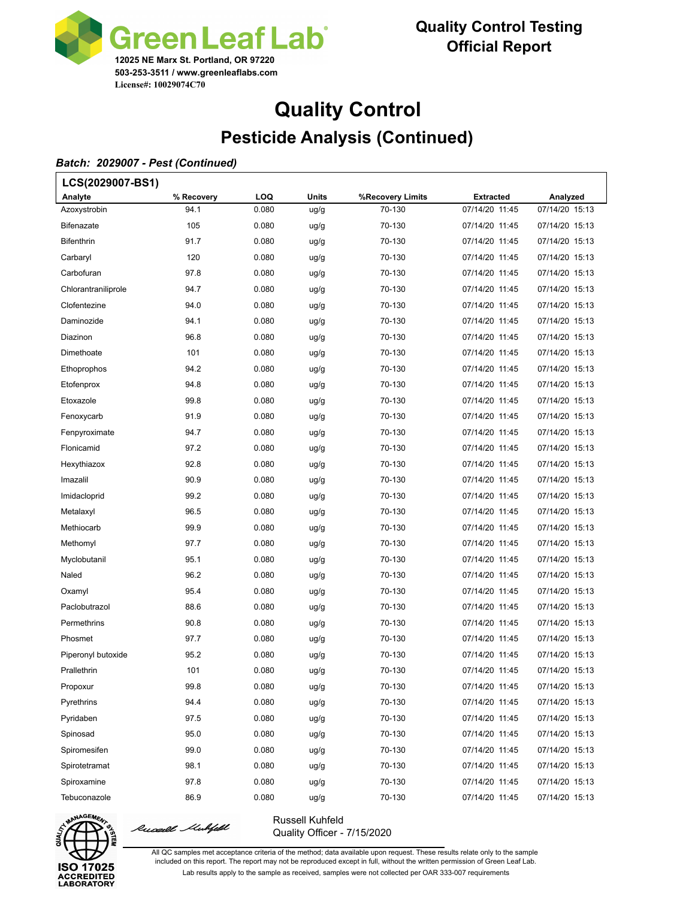

# **Quality Control Pesticide Analysis (Continued)**

#### *Batch: 2029007 - Pest (Continued)*

| LCS(2029007-BS1)    |            |       |       |                  |                  |                |
|---------------------|------------|-------|-------|------------------|------------------|----------------|
| Analyte             | % Recovery | LOQ   | Units | %Recovery Limits | <b>Extracted</b> | Analyzed       |
| Azoxystrobin        | 94.1       | 0.080 | ug/g  | 70-130           | 07/14/20 11:45   | 07/14/20 15:13 |
| Bifenazate          | 105        | 0.080 | ug/g  | 70-130           | 07/14/20 11:45   | 07/14/20 15:13 |
| <b>Bifenthrin</b>   | 91.7       | 0.080 | ug/g  | 70-130           | 07/14/20 11:45   | 07/14/20 15:13 |
| Carbaryl            | 120        | 0.080 | ug/g  | 70-130           | 07/14/20 11:45   | 07/14/20 15:13 |
| Carbofuran          | 97.8       | 0.080 | ug/g  | 70-130           | 07/14/20 11:45   | 07/14/20 15:13 |
| Chlorantraniliprole | 94.7       | 0.080 | ug/g  | 70-130           | 07/14/20 11:45   | 07/14/20 15:13 |
| Clofentezine        | 94.0       | 0.080 | ug/g  | 70-130           | 07/14/20 11:45   | 07/14/20 15:13 |
| Daminozide          | 94.1       | 0.080 | ug/g  | 70-130           | 07/14/20 11:45   | 07/14/20 15:13 |
| Diazinon            | 96.8       | 0.080 | ug/g  | 70-130           | 07/14/20 11:45   | 07/14/20 15:13 |
| Dimethoate          | 101        | 0.080 | ug/g  | 70-130           | 07/14/20 11:45   | 07/14/20 15:13 |
| Ethoprophos         | 94.2       | 0.080 | ug/g  | 70-130           | 07/14/20 11:45   | 07/14/20 15:13 |
| Etofenprox          | 94.8       | 0.080 | ug/g  | 70-130           | 07/14/20 11:45   | 07/14/20 15:13 |
| Etoxazole           | 99.8       | 0.080 | ug/g  | 70-130           | 07/14/20 11:45   | 07/14/20 15:13 |
| Fenoxycarb          | 91.9       | 0.080 | ug/g  | 70-130           | 07/14/20 11:45   | 07/14/20 15:13 |
| Fenpyroximate       | 94.7       | 0.080 | ug/g  | 70-130           | 07/14/20 11:45   | 07/14/20 15:13 |
| Flonicamid          | 97.2       | 0.080 | ug/g  | 70-130           | 07/14/20 11:45   | 07/14/20 15:13 |
| Hexythiazox         | 92.8       | 0.080 | ug/g  | 70-130           | 07/14/20 11:45   | 07/14/20 15:13 |
| Imazalil            | 90.9       | 0.080 | ug/g  | 70-130           | 07/14/20 11:45   | 07/14/20 15:13 |
| Imidacloprid        | 99.2       | 0.080 | ug/g  | 70-130           | 07/14/20 11:45   | 07/14/20 15:13 |
| Metalaxyl           | 96.5       | 0.080 | ug/g  | 70-130           | 07/14/20 11:45   | 07/14/20 15:13 |
| Methiocarb          | 99.9       | 0.080 | ug/g  | 70-130           | 07/14/20 11:45   | 07/14/20 15:13 |
| Methomyl            | 97.7       | 0.080 | ug/g  | 70-130           | 07/14/20 11:45   | 07/14/20 15:13 |
| Myclobutanil        | 95.1       | 0.080 | ug/g  | 70-130           | 07/14/20 11:45   | 07/14/20 15:13 |
| Naled               | 96.2       | 0.080 | ug/g  | 70-130           | 07/14/20 11:45   | 07/14/20 15:13 |
| Oxamyl              | 95.4       | 0.080 | ug/g  | 70-130           | 07/14/20 11:45   | 07/14/20 15:13 |
| Paclobutrazol       | 88.6       | 0.080 | ug/g  | 70-130           | 07/14/20 11:45   | 07/14/20 15:13 |
| Permethrins         | 90.8       | 0.080 | ug/g  | 70-130           | 07/14/20 11:45   | 07/14/20 15:13 |
| Phosmet             | 97.7       | 0.080 | ug/g  | 70-130           | 07/14/20 11:45   | 07/14/20 15:13 |
| Piperonyl butoxide  | 95.2       | 0.080 | ug/g  | 70-130           | 07/14/20 11:45   | 07/14/20 15:13 |
| Prallethrin         | 101        | 0.080 | ug/g  | 70-130           | 07/14/20 11:45   | 07/14/20 15:13 |
| Propoxur            | 99.8       | 0.080 | ug/g  | 70-130           | 07/14/20 11:45   | 07/14/20 15:13 |
| Pyrethrins          | 94.4       | 0.080 | ug/g  | 70-130           | 07/14/20 11:45   | 07/14/20 15:13 |
| Pyridaben           | 97.5       | 0.080 | ug/g  | 70-130           | 07/14/20 11:45   | 07/14/20 15:13 |
| Spinosad            | 95.0       | 0.080 | ug/g  | 70-130           | 07/14/20 11:45   | 07/14/20 15:13 |
| Spiromesifen        | 99.0       | 0.080 | ug/g  | 70-130           | 07/14/20 11:45   | 07/14/20 15:13 |
| Spirotetramat       | 98.1       | 0.080 | ug/g  | 70-130           | 07/14/20 11:45   | 07/14/20 15:13 |
| Spiroxamine         | 97.8       | 0.080 | ug/g  | 70-130           | 07/14/20 11:45   | 07/14/20 15:13 |
| Tebuconazole        | 86.9       | 0.080 | ug/g  | 70-130           | 07/14/20 11:45   | 07/14/20 15:13 |



Russell Mubifeld

Russell Kuhfeld Quality Officer - 7/15/2020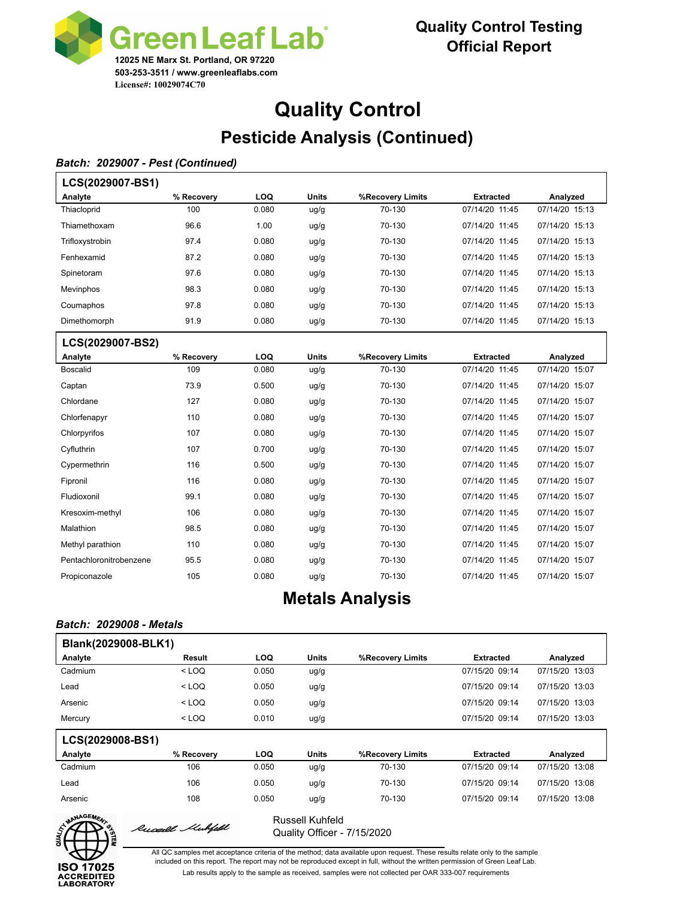

## **Quality Control Pesticide Analysis (Continued)**

### *Batch: 2029007 - Pest (Continued)*

| LCS(2029007-BS1) |            |       |       |                  |                  |                |
|------------------|------------|-------|-------|------------------|------------------|----------------|
| Analyte          | % Recovery | LOQ   | Units | %Recovery Limits | <b>Extracted</b> | Analyzed       |
| Thiacloprid      | 100        | 0.080 | ug/g  | 70-130           | 07/14/20 11:45   | 07/14/20 15:13 |
| Thiamethoxam     | 96.6       | 1.00  | ug/g  | 70-130           | 07/14/20 11:45   | 07/14/20 15:13 |
| Trifloxystrobin  | 97.4       | 0.080 | ug/g  | 70-130           | 07/14/20 11:45   | 07/14/20 15:13 |
| Fenhexamid       | 87.2       | 0.080 | ug/g  | 70-130           | 07/14/20 11:45   | 07/14/20 15:13 |
| Spinetoram       | 97.6       | 0.080 | ug/g  | 70-130           | 07/14/20 11:45   | 07/14/20 15:13 |
| <b>Mevinphos</b> | 98.3       | 0.080 | ug/g  | 70-130           | 07/14/20 11:45   | 07/14/20 15:13 |
| Coumaphos        | 97.8       | 0.080 | ug/g  | 70-130           | 07/14/20 11:45   | 07/14/20 15:13 |
| Dimethomorph     | 91.9       | 0.080 | ug/g  | 70-130           | 07/14/20 11:45   | 07/14/20 15:13 |
| LCS(2029007-BS2) |            |       |       |                  |                  |                |
| Analyte          | % Recovery | LOQ   | Units | %Recovery Limits | <b>Extracted</b> | Analyzed       |

| <b>Boscalid</b>         | 109  | 0.080 | ug/g | 70-130 | 07/14/20 11:45 | 07/14/20 15:07 |
|-------------------------|------|-------|------|--------|----------------|----------------|
| Captan                  | 73.9 | 0.500 | ug/g | 70-130 | 07/14/20 11:45 | 07/14/20 15:07 |
| Chlordane               | 127  | 0.080 | ug/g | 70-130 | 07/14/20 11:45 | 07/14/20 15:07 |
| Chlorfenapyr            | 110  | 0.080 | ug/g | 70-130 | 07/14/20 11:45 | 07/14/20 15:07 |
| Chlorpyrifos            | 107  | 0.080 | ug/g | 70-130 | 07/14/20 11:45 | 07/14/20 15:07 |
| Cyfluthrin              | 107  | 0.700 | ug/g | 70-130 | 07/14/20 11:45 | 07/14/20 15:07 |
| Cypermethrin            | 116  | 0.500 | ug/g | 70-130 | 07/14/20 11:45 | 07/14/20 15:07 |
| Fipronil                | 116  | 0.080 | ug/g | 70-130 | 07/14/20 11:45 | 07/14/20 15:07 |
| Fludioxonil             | 99.1 | 0.080 | ug/g | 70-130 | 07/14/20 11:45 | 07/14/20 15:07 |
| Kresoxim-methyl         | 106  | 0.080 | ug/g | 70-130 | 07/14/20 11:45 | 07/14/20 15:07 |
| <b>Malathion</b>        | 98.5 | 0.080 | ug/g | 70-130 | 07/14/20 11:45 | 07/14/20 15:07 |
| Methyl parathion        | 110  | 0.080 | ug/g | 70-130 | 07/14/20 11:45 | 07/14/20 15:07 |
| Pentachloronitrobenzene | 95.5 | 0.080 | ug/g | 70-130 | 07/14/20 11:45 | 07/14/20 15:07 |
| Propiconazole           | 105  | 0.080 | ug/g | 70-130 | 07/14/20 11:45 | 07/14/20 15:07 |
|                         |      |       |      |        |                |                |

## **Metals Analysis**

### *Batch: 2029008 - Metals*

Russell Muhfeld

| Blank(2029008-BLK1) |            |            |              |                  |                  |                |  |  |  |
|---------------------|------------|------------|--------------|------------------|------------------|----------------|--|--|--|
| Analyte             | Result     | <b>LOQ</b> | <b>Units</b> | %Recovery Limits | <b>Extracted</b> | Analyzed       |  |  |  |
| Cadmium             | $<$ LOQ    | 0.050      | ug/g         |                  | 07/15/20 09:14   | 07/15/20 13:03 |  |  |  |
| Lead                | $<$ LOQ    | 0.050      | ug/g         |                  | 07/15/20 09:14   | 07/15/20 13:03 |  |  |  |
| Arsenic             | $<$ LOQ    | 0.050      | ug/g         |                  | 07/15/20 09:14   | 07/15/20 13:03 |  |  |  |
| Mercury             | $<$ LOQ    | 0.010      | ug/g         |                  | 07/15/20 09:14   | 07/15/20 13:03 |  |  |  |
| LCS(2029008-BS1)    |            |            |              |                  |                  |                |  |  |  |
| Analyte             | % Recovery | <b>LOQ</b> | <b>Units</b> | %Recovery Limits | <b>Extracted</b> | Analyzed       |  |  |  |
| Cadmium             | 106        | 0.050      | ug/g         | 70-130           | 07/15/20 09:14   | 07/15/20 13:08 |  |  |  |
| Lead                | 106        | 0.050      | ug/g         | 70-130           | 07/15/20 09:14   | 07/15/20 13:08 |  |  |  |
| Arsenic             | 108        | 0.050      | ug/g         | 70-130           | 07/15/20 09:14   | 07/15/20 13:08 |  |  |  |
| $\cdots$ $\alpha$ . |            |            |              |                  |                  |                |  |  |  |



Russell Kuhfeld Quality Officer - 7/15/2020